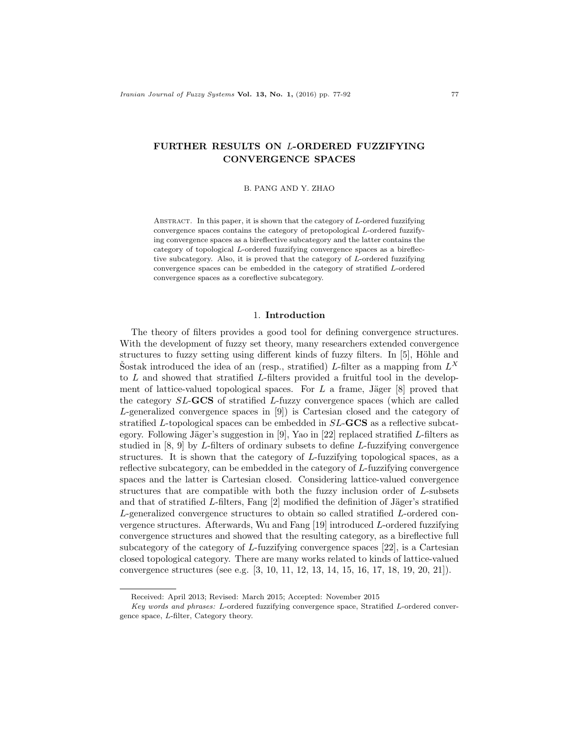# FURTHER RESULTS ON L-ORDERED FUZZIFYING CONVERGENCE SPACES

B. PANG AND Y. ZHAO

ABSTRACT. In this paper, it is shown that the category of  $L$ -ordered fuzzifying convergence spaces contains the category of pretopological L-ordered fuzzifying convergence spaces as a bireflective subcategory and the latter contains the category of topological L-ordered fuzzifying convergence spaces as a bireflective subcategory. Also, it is proved that the category of L-ordered fuzzifying convergence spaces can be embedded in the category of stratified L-ordered convergence spaces as a coreflective subcategory.

### 1. Introduction

The theory of filters provides a good tool for defining convergence structures. With the development of fuzzy set theory, many researchers extended convergence structures to fuzzy setting using different kinds of fuzzy filters. In  $[5]$ , Höhle and Sostak introduced the idea of an (resp., stratified) L-filter as a mapping from  $L^X$ to L and showed that stratified L-filters provided a fruitful tool in the development of lattice-valued topological spaces. For  $L$  a frame, Jäger [8] proved that the category SL-GCS of stratified L-fuzzy convergence spaces (which are called L-generalized convergence spaces in [9]) is Cartesian closed and the category of stratified L-topological spaces can be embedded in SL-GCS as a reflective subcategory. Following Jäger's suggestion in [9], Yao in [22] replaced stratified L-filters as studied in [8, 9] by L-filters of ordinary subsets to define L-fuzzifying convergence structures. It is shown that the category of L-fuzzifying topological spaces, as a reflective subcategory, can be embedded in the category of L-fuzzifying convergence spaces and the latter is Cartesian closed. Considering lattice-valued convergence structures that are compatible with both the fuzzy inclusion order of L-subsets and that of stratified L-filters, Fang  $[2]$  modified the definition of Jäger's stratified L-generalized convergence structures to obtain so called stratified L-ordered convergence structures. Afterwards, Wu and Fang [19] introduced L-ordered fuzzifying convergence structures and showed that the resulting category, as a bireflective full subcategory of the category of  $L$ -fuzzifying convergence spaces [22], is a Cartesian closed topological category. There are many works related to kinds of lattice-valued convergence structures (see e.g. [3, 10, 11, 12, 13, 14, 15, 16, 17, 18, 19, 20, 21]).

Received: April 2013; Revised: March 2015; Accepted: November 2015

Key words and phrases: L-ordered fuzzifying convergence space, Stratified L-ordered convergence space, L-filter, Category theory.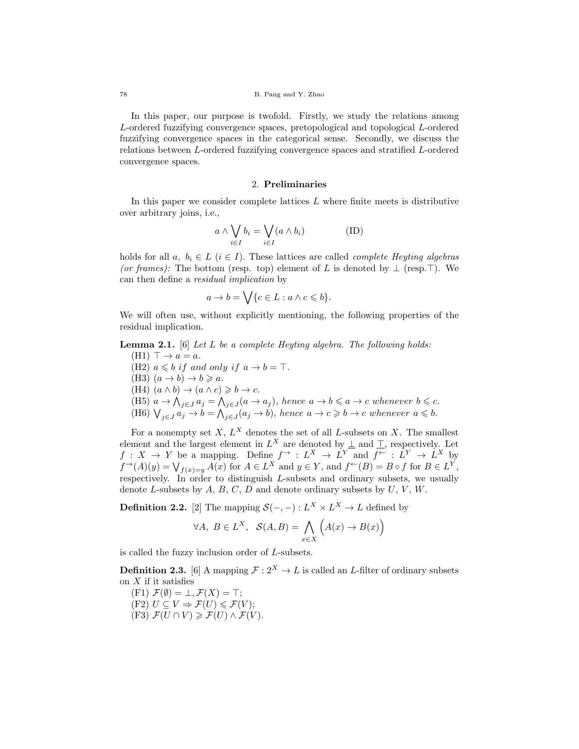In this paper, our purpose is twofold. Firstly, we study the relations among L-ordered fuzzifying convergence spaces, pretopological and topological L-ordered fuzzifying convergence spaces in the categorical sense. Secondly, we discuss the relations between L-ordered fuzzifying convergence spaces and stratified L-ordered convergence spaces.

### 2. Preliminaries

In this paper we consider complete lattices  $L$  where finite meets is distributive over arbitrary joins, i.e.,

$$
a \wedge \bigvee_{i \in I} b_i = \bigvee_{i \in I} (a \wedge b_i) \tag{ID}
$$

holds for all  $a, b_i \in L$   $(i \in I)$ . These lattices are called *complete Heyting algebras* (or frames): The bottom (resp. top) element of L is denoted by  $\perp$  (resp. T). We can then define a residual implication by

$$
a \to b = \bigvee \{c \in L : a \wedge c \leqslant b\}.
$$

We will often use, without explicitly mentioning, the following properties of the residual implication.

**Lemma 2.1.** [6] Let L be a complete Heyting algebra. The following holds:

 $(H1) \top \rightarrow a = a.$ (H2)  $a \leqslant b$  if and only if  $a \to b = \top$ . (H3)  $(a \rightarrow b) \rightarrow b \geq a$ . (H4)  $(a \wedge b) \rightarrow (a \wedge c) \geq b \rightarrow c$ . (H5)  $a \to \bigwedge_{j \in J} a_j = \bigwedge_{j \in J} (a \to a_j)$ , hence  $a \to b \leq a \to c$  whenever  $b \leq c$ . (H6)  $\bigvee_{j\in J}a_j\to b=\bigwedge_{j\in J}(a_j\to b),$  hence  $a\to c\geq b\to c$  whenever  $a\leq b$ .

For a nonempty set  $X, L^X$  denotes the set of all L-subsets on X. The smallest element and the largest element in  $L^X$  are denoted by  $\perp$  and  $\perp$ , respectively. Let  $f: X \to Y$  be a mapping. Define  $f \to L^X \to L^Y$  and  $f \to L^Y \to L^X$  by  $f^{\rightarrow}(A)(y) = \bigvee_{f(x)=y} A(x)$  for  $A \in L^X$  and  $y \in Y$ , and  $f^{\leftarrow}(B) = B \circ f$  for  $B \in L^Y$ , respectively. In order to distinguish  $L$ -subsets and ordinary subsets, we usually denote L-subsets by  $A, B, C, D$  and denote ordinary subsets by  $U, V, W$ .

**Definition 2.2.** [2] The mapping  $S(-, -): L^X \times L^X \to L$  defined by

$$
\forall A, B \in L^X, \quad \mathcal{S}(A, B) = \bigwedge_{x \in X} \left( A(x) \to B(x) \right)
$$

is called the fuzzy inclusion order of L-subsets.

**Definition 2.3.** [6] A mapping  $\mathcal{F}: 2^X \to L$  is called an *L*-filter of ordinary subsets on  $X$  if it satisfies

- $(F1) \mathcal{F}(\emptyset) = \bot, \mathcal{F}(X) = \top;$
- (F2)  $U \subseteq V \Rightarrow \mathcal{F}(U) \leq \mathcal{F}(V);$
- (F3)  $\mathcal{F}(U \cap V) \geq \mathcal{F}(U) \wedge \mathcal{F}(V)$ .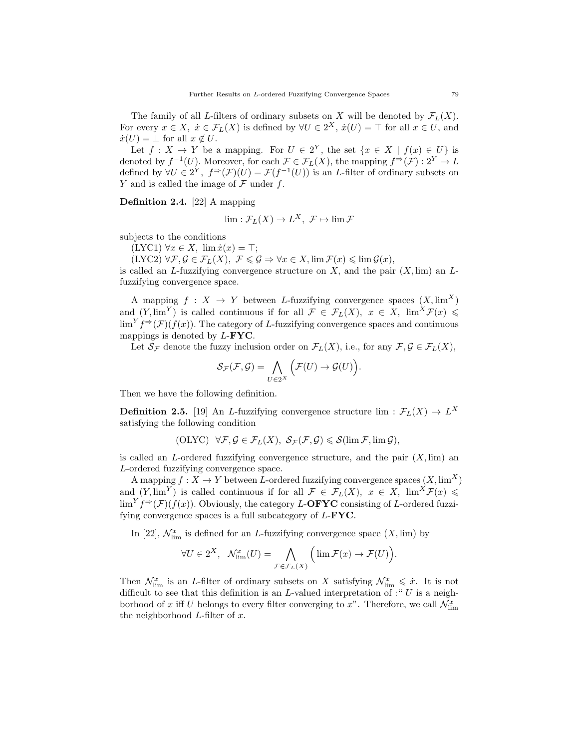The family of all L-filters of ordinary subsets on X will be denoted by  $\mathcal{F}_L(X)$ . For every  $x \in X$ ,  $\dot{x} \in \mathcal{F}_L(X)$  is defined by  $\forall U \in 2^X$ ,  $\dot{x}(U) = \top$  for all  $x \in U$ , and  $\dot{x}(U) = \perp$  for all  $x \notin U$ .

Let  $f: X \to Y$  be a mapping. For  $U \in 2^Y$ , the set  $\{x \in X \mid f(x) \in U\}$  is denoted by  $f^{-1}(U)$ . Moreover, for each  $\mathcal{F} \in \mathcal{F}_L(X)$ , the mapping  $f^{\Rightarrow}(\mathcal{F}) : 2^Y \to L$ defined by  $\forall U \in 2^Y$ ,  $f \Rightarrow (\mathcal{F})(U) = \mathcal{F}(f^{-1}(U))$  is an L-filter of ordinary subsets on Y and is called the image of  $\mathcal F$  under f.

Definition 2.4. [22] A mapping

$$
\lim : \mathcal{F}_L(X) \to L^X, \ \mathcal{F} \mapsto \lim \mathcal{F}
$$

subjects to the conditions

 $(LYC1) \forall x \in X$ ,  $\lim \dot{x}(x) = \top;$ 

 $(LYC2) \forall \mathcal{F}, \mathcal{G} \in \mathcal{F}_L(X), \ \mathcal{F} \leq \mathcal{G} \Rightarrow \forall x \in X, \lim \mathcal{F}(x) \leq \lim \mathcal{G}(x),$ 

is called an L-fuzzifying convergence structure on  $X$ , and the pair  $(X, \lim)$  an Lfuzzifying convergence space.

A mapping  $f : X \to Y$  between L-fuzzifying convergence spaces  $(X, \text{lim}^X)$ and  $(Y, \lim^Y)$  is called continuous if for all  $\mathcal{F} \in \mathcal{F}_L(X)$ ,  $x \in X$ ,  $\lim^X \mathcal{F}(x) \leq$  $\lim^{Y} f \to (\mathcal{F})(f(x))$ . The category of L-fuzzifying convergence spaces and continuous mappings is denoted by L-FYC.

Let  $S_{\mathcal{F}}$  denote the fuzzy inclusion order on  $\mathcal{F}_L(X)$ , i.e., for any  $\mathcal{F}, \mathcal{G} \in \mathcal{F}_L(X)$ ,

$$
\mathcal{S}_{\mathcal{F}}(\mathcal{F},\mathcal{G})=\bigwedge_{U\in 2^X}\Big(\mathcal{F}(U)\to \mathcal{G}(U)\Big).
$$

Then we have the following definition.

**Definition 2.5.** [19] An L-fuzzifying convergence structure  $\lim : \mathcal{F}_L(X) \to L^X$ satisfying the following condition

$$
(\text{OLYC}) \quad \forall \mathcal{F}, \mathcal{G} \in \mathcal{F}_L(X), \ \mathcal{S}_{\mathcal{F}}(\mathcal{F}, \mathcal{G}) \leqslant \mathcal{S}(\lim \mathcal{F}, \lim \mathcal{G}),
$$

is called an L-ordered fuzzifying convergence structure, and the pair  $(X, \text{lim})$  an L-ordered fuzzifying convergence space.

A mapping  $f: X \to Y$  between L-ordered fuzzifying convergence spaces  $(X, \lim^X)$ and  $(Y, \lim^Y)$  is called continuous if for all  $\mathcal{F} \in \mathcal{F}_L(X)$ ,  $x \in X$ ,  $\lim^X \mathcal{F}(x) \leq$  $\lim^{Y} f^{\Rightarrow}(\mathcal{F})(f(x))$ . Obviously, the category L-**OFYC** consisting of L-ordered fuzzifying convergence spaces is a full subcategory of  $L$ - $\text{FYC}$ .

In [22],  $\mathcal{N}_{\text{lim}}^x$  is defined for an *L*-fuzzifying convergence space  $(X, \text{lim})$  by

$$
\forall U \in 2^X, \quad \mathcal{N}_{\lim}^x(U) = \bigwedge_{\mathcal{F} \in \mathcal{F}_L(X)} \Big( \lim \mathcal{F}(x) \to \mathcal{F}(U) \Big).
$$

Then  $\mathcal{N}_{\text{lim}}^x$  is an L-filter of ordinary subsets on X satisfying  $\mathcal{N}_{\text{lim}}^x \leq x$ . It is not difficult to see that this definition is an L-valued interpretation of  $: "U$  is a neighborhood of x iff U belongs to every filter converging to  $x$ ". Therefore, we call  $\mathcal{N}^x_{\text{lim}}$ the neighborhood  $L$ -filter of  $x$ .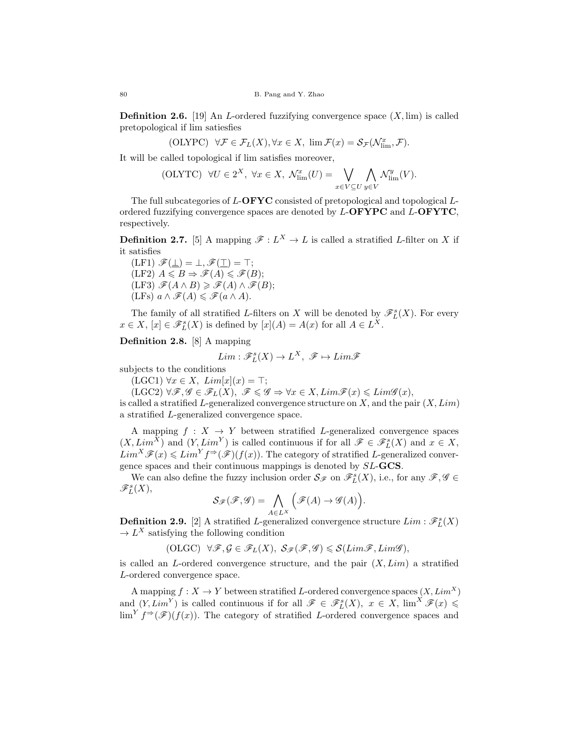**Definition 2.6.** [19] An L-ordered fuzzifying convergence space  $(X, \text{lim})$  is called pretopological if lim satiesfies

$$
(\mathrm{OLYPC})\quad\forall\mathcal{F}\in\mathcal{F}_L(X),\forall x\in X,\ \lim\mathcal{F}(x)=\mathcal{S}_{\mathcal{F}}(\mathcal{N}^x_{\mathrm{lim}},\mathcal{F}).
$$

It will be called topological if lim satisfies moreover,

$$
(\text{OLYTC}) \quad \forall U \in 2^X, \ \forall x \in X, \ \mathcal{N}_{\text{lim}}^x(U) = \bigvee_{x \in V \subseteq U} \bigwedge_{y \in V} \mathcal{N}_{\text{lim}}^y(V).
$$

The full subcategories of  $L$ -OFYC consisted of pretopological and topological  $L$ ordered fuzzifying convergence spaces are denoted by  $L$ -**OFYPC** and  $L$ -**OFYTC**, respectively.

**Definition 2.7.** [5] A mapping  $\mathscr{F}: L^X \to L$  is called a stratified L-filter on X if it satisfies

 $(LF1) \mathscr{F}(\perp) = \perp, \mathscr{F}(\perp) = \top;$  $(LF2)$   $A \leq B \Rightarrow \mathscr{F}(A) \leq \mathscr{F}(B);$  $(LF3) \mathscr{F}(A \wedge B) \geq \mathscr{F}(A) \wedge \mathscr{F}(B);$  $(LFs)$   $a \wedge \mathscr{F}(A) \leq \mathscr{F}(a \wedge A)$ .

The family of all stratified L-filters on X will be denoted by  $\mathscr{F}_{L}^{s}(X)$ . For every  $x \in X$ ,  $[x] \in \mathscr{F}_L^s(X)$  is defined by  $[x](A) = A(x)$  for all  $A \in L^X$ .

Definition 2.8. [8] A mapping

$$
Lim: \mathscr{F}_L^s(X) \to L^X, \ \mathscr{F} \mapsto Lim\mathscr{F}
$$

subjects to the conditions

 $(LGC1) \,\forall x \in X, \, Lim[x](x) = \top;$ 

 $(LGC2) \,\forall \mathscr{F}, \mathscr{G} \in \mathscr{F}_L(X), \,\, \mathscr{F} \leqslant \mathscr{G} \Rightarrow \forall x \in X, \, Lim\mathscr{F}(x) \leqslant Lim\mathscr{G}(x),$ is called a stratified L-generalized convergence structure on  $X$ , and the pair  $(X, Lim)$ a stratified L-generalized convergence space.

A mapping  $f : X \to Y$  between stratified L-generalized convergence spaces  $(X, Lim^X)$  and  $(Y, Lim^Y)$  is called continuous if for all  $\mathscr{F} \in \mathscr{F}_L^s(X)$  and  $x \in X$ ,  $Lim^X\mathscr{F}(x)\leqslant Lim^Yf^{\Rightarrow}(\mathscr{F})(f(x))$ . The category of stratified L-generalized convergence spaces and their continuous mappings is denoted by SL-GCS.

We can also define the fuzzy inclusion order  $S_{\mathscr{F}}$  on  $\mathscr{F}_{L}^{s}(X)$ , i.e., for any  $\mathscr{F}, \mathscr{G} \in$  $\mathscr{F}_L^s(X),$ 

$$
\mathcal{S}_{\mathscr{F}}(\mathscr{F},\mathscr{G}) = \bigwedge_{A \in L^X} \left( \mathscr{F}(A) \to \mathscr{G}(A) \right).
$$

**Definition 2.9.** [2] A stratified *L*-generalized convergence structure  $Lim : \mathscr{F}_{L}^{s}(X)$  $\rightarrow$  L<sup>X</sup> satisfying the following condition

(OLGC)  $\forall \mathcal{F}, \mathcal{G} \in \mathcal{F}_L(X), \mathcal{S}_{\mathcal{F}}(\mathcal{F}, \mathcal{G}) \leq \mathcal{S}(Lim\mathcal{F}, Lim\mathcal{G}),$ 

is called an L-ordered convergence structure, and the pair  $(X, Lim)$  a stratified L-ordered convergence space.

A mapping  $f: X \to Y$  between stratified L-ordered convergence spaces  $(X, Lim^X)$ and  $(Y, Lim^Y)$  is called continuous if for all  $\mathscr{F} \in \mathscr{F}_{L}^{s}(X), x \in X$ ,  $\lim^X \mathscr{F}(x) \leq$  $\lim^{Y} f^{\Rightarrow}(\mathscr{F})(f(x))$ . The category of stratified L-ordered convergence spaces and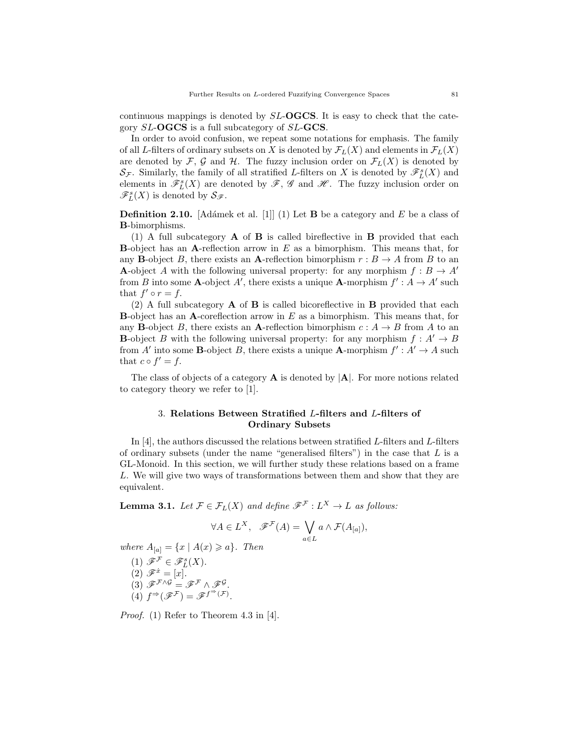continuous mappings is denoted by  $SL-**OGCS**$ . It is easy to check that the category SL-OGCS is a full subcategory of SL-GCS.

In order to avoid confusion, we repeat some notations for emphasis. The family of all L-filters of ordinary subsets on X is denoted by  $\mathcal{F}_L(X)$  and elements in  $\mathcal{F}_L(X)$ are denoted by F, G and H. The fuzzy inclusion order on  $\mathcal{F}_L(X)$  is denoted by  $\mathcal{S}_{\mathcal{F}}$ . Similarly, the family of all stratified L-filters on X is denoted by  $\mathscr{F}_{L}^{s}(X)$  and elements in  $\mathscr{F}_{L}^{s}(X)$  are denoted by  $\mathscr{F}, \mathscr{G}$  and  $\mathscr{H}$ . The fuzzy inclusion order on  $\mathscr{F}_{L}^{s}(X)$  is denoted by  $\mathcal{S}_{\mathscr{F}}$ .

**Definition 2.10.** [Adámek et al. [1]] (1) Let **B** be a category and E be a class of B-bimorphisms.

(1) A full subcategory  $\bf{A}$  of  $\bf{B}$  is called bireflective in  $\bf{B}$  provided that each **B**-object has an A-reflection arrow in  $E$  as a bimorphism. This means that, for any **B**-object B, there exists an **A**-reflection bimorphism  $r : B \to A$  from B to an **A**-object A with the following universal property: for any morphism  $f : B \to A'$ from B into some **A**-object A', there exists a unique **A**-morphism  $f' : A \to A'$  such that  $f' \circ r = f$ .

(2) A full subcategory  $\bf{A}$  of  $\bf{B}$  is called bicoreflective in  $\bf{B}$  provided that each **B**-object has an A-coreflection arrow in  $E$  as a bimorphism. This means that, for any **B**-object B, there exists an A-reflection bimorphism  $c : A \rightarrow B$  from A to an **B**-object B with the following universal property: for any morphism  $f : A' \rightarrow B$ from A' into some **B**-object B, there exists a unique **A**-morphism  $f' : A' \to A$  such that  $c \circ f' = f$ .

The class of objects of a category  $\bf{A}$  is denoted by  $|\bf{A}|$ . For more notions related to category theory we refer to [1].

## 3. Relations Between Stratified L-filters and L-filters of Ordinary Subsets

In [4], the authors discussed the relations between stratified  $L$ -filters and  $L$ -filters of ordinary subsets (under the name "generalised filters") in the case that  $L$  is a GL-Monoid. In this section, we will further study these relations based on a frame L. We will give two ways of transformations between them and show that they are equivalent.

**Lemma 3.1.** Let  $\mathcal{F} \in \mathcal{F}_L(X)$  and define  $\mathcal{F}^{\mathcal{F}} : L^X \to L$  as follows:

$$
\forall A \in L^X, \quad \mathscr{F}^{\mathcal{F}}(A) = \bigvee_{a \in L} a \wedge \mathcal{F}(A_{[a]}),
$$

where  $A_{[a]} = \{x \mid A(x) \geqslant a\}$ . Then

(1) 
$$
\mathscr{F}^{\mathcal{F}} \in \mathscr{F}_L^s(X)
$$
.  
\n(2)  $\mathscr{F}^{\dot{x}} = [x]$ .  
\n(3)  $\mathscr{F}^{\mathcal{F} \wedge \mathcal{G}} = \mathscr{F}^{\mathcal{F}} \wedge \mathscr{F}^{\mathcal{G}}$ .  
\n(4)  $f^{\Rightarrow}(\mathscr{F}^{\mathcal{F}}) = \mathscr{F}^{f^{\Rightarrow}(\mathcal{F})}$ .

Proof. (1) Refer to Theorem 4.3 in [4].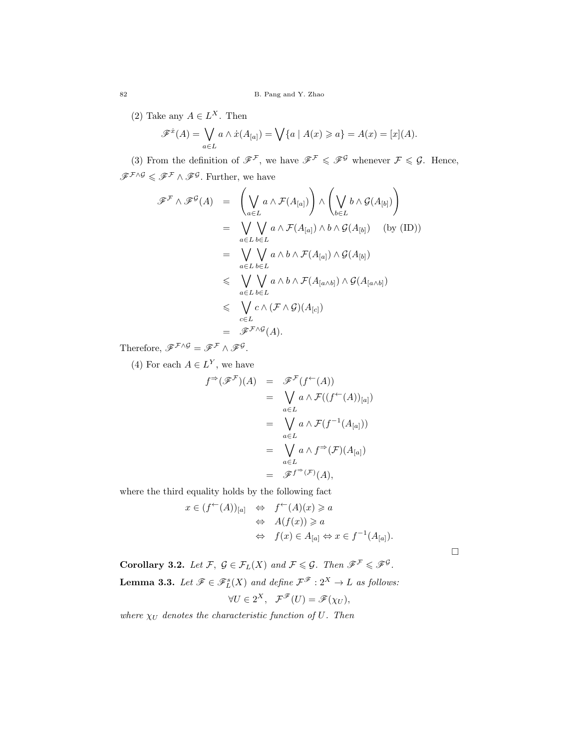(2) Take any  $A \in L^X$ . Then

$$
\mathscr{F}^{\dot{x}}(A) = \bigvee_{a \in L} a \wedge \dot{x}(A_{[a]}) = \bigvee \{a \mid A(x) \geq a\} = A(x) = [x](A).
$$

(3) From the definition of  $\mathscr{F}^{\mathcal{F}}$ , we have  $\mathscr{F}^{\mathcal{F}} \leq \mathscr{F}^{\mathcal{G}}$  whenever  $\mathcal{F} \leq \mathcal{G}$ . Hence,  $\mathscr{F}^{\mathcal{F} \wedge \mathcal{G}} \leqslant \mathscr{F}^{\mathcal{F}} \wedge \mathscr{F}^{\mathcal{G}}$ . Further, we have

$$
\mathscr{F}^{\mathcal{F}} \wedge \mathscr{F}^{\mathcal{G}}(A) = \left(\bigvee_{a \in L} a \wedge \mathcal{F}(A_{[a]})\right) \wedge \left(\bigvee_{b \in L} b \wedge \mathcal{G}(A_{[b]})\right)
$$
  
\n
$$
= \bigvee_{a \in L} \bigvee_{b \in L} a \wedge \mathcal{F}(A_{[a]}) \wedge b \wedge \mathcal{G}(A_{[b]}) \quad \text{(by (ID))}
$$
  
\n
$$
= \bigvee_{a \in L} \bigvee_{b \in L} a \wedge b \wedge \mathcal{F}(A_{[a]}) \wedge \mathcal{G}(A_{[b]})
$$
  
\n
$$
\leq \bigvee_{a \in L} \bigvee_{b \in L} a \wedge b \wedge \mathcal{F}(A_{[a \wedge b]}) \wedge \mathcal{G}(A_{[a \wedge b]})
$$
  
\n
$$
\leq \bigvee_{a \in L} b \in L
$$
  
\n
$$
\leq \bigvee_{c \in L} c \wedge (\mathcal{F} \wedge \mathcal{G})(A_{[c]})
$$
  
\n
$$
= \mathscr{F}^{\mathcal{F} \wedge \mathcal{G}}(A).
$$

Therefore,  $\mathscr{F}^{\mathcal{F} \wedge \mathcal{G}} = \mathscr{F}^{\mathcal{F}} \wedge \mathscr{F}^{\mathcal{G}}$ .

(4) For each  $A \in L^Y$ , we have

$$
f^{\Rightarrow}(\mathscr{F}^{\mathcal{F}})(A) = \mathscr{F}^{\mathcal{F}}(f^{\leftarrow}(A))
$$
  
\n
$$
= \bigvee_{a \in L} a \wedge \mathcal{F}((f^{\leftarrow}(A))_{[a]})
$$
  
\n
$$
= \bigvee_{a \in L} a \wedge \mathcal{F}(f^{-1}(A_{[a]}))
$$
  
\n
$$
= \bigvee_{a \in L} a \wedge f^{\Rightarrow}(\mathcal{F})(A_{[a]})
$$
  
\n
$$
= \mathscr{F}^{f^{\Rightarrow}(\mathcal{F})}(A),
$$

where the third equality holds by the following fact

$$
x \in (f^{\leftarrow}(A))_{[a]} \Leftrightarrow f^{\leftarrow}(A)(x) \geq a
$$
  

$$
\Leftrightarrow A(f(x)) \geq a
$$
  

$$
\Leftrightarrow f(x) \in A_{[a]} \Leftrightarrow x \in f^{-1}(A_{[a]}).
$$

 $\Box$ 

**Corollary 3.2.** Let F,  $\mathcal{G} \in \mathcal{F}_L(X)$  and  $\mathcal{F} \leq \mathcal{G}$ . Then  $\mathcal{F}^{\mathcal{F}} \leq \mathcal{F}^{\mathcal{G}}$ . **Lemma 3.3.** Let  $\mathscr{F} \in \mathscr{F}_L^s(X)$  and define  $\mathcal{F}^{\mathscr{F}} : 2^X \to L$  as follows:  $\forall U \in 2^X, \quad \mathcal{F}^{\mathscr{F}}(U) = \mathscr{F}(\chi_U),$ 

where  $\chi_U$  denotes the characteristic function of U. Then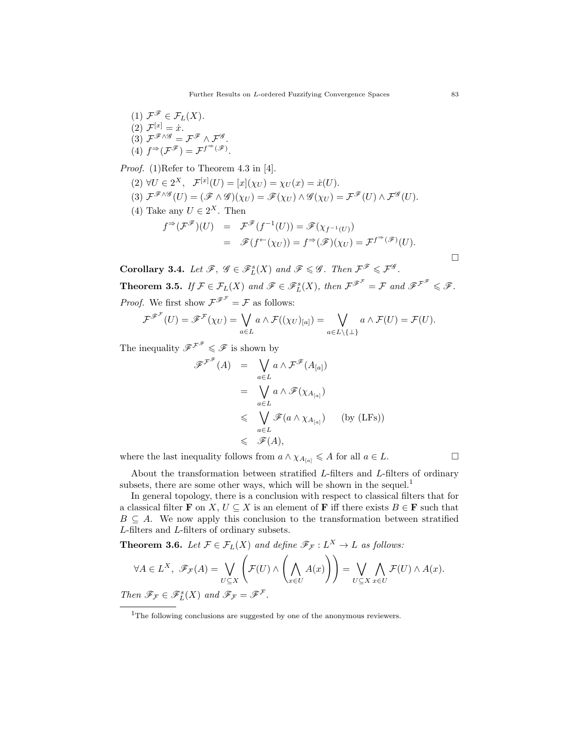(1)  $\mathcal{F}^{\mathscr{F}} \in \mathcal{F}_L(X)$ . (2)  $\mathcal{F}^{[x]} = \dot{x}$ . (3)  $\mathcal{F}^{\mathscr{F} \wedge \mathscr{G}} = \mathcal{F}^{\mathscr{F}} \wedge \mathcal{F}^{\mathscr{G}}$ . (4)  $f^{\Rightarrow}(\mathcal{F}^{\mathscr{F}})=\mathcal{F}^{f^{\Rightarrow}(\mathscr{F})}.$ 

Proof. (1)Refer to Theorem 4.3 in [4].

- (2)  $\forall U \in 2^X$ ,  $\mathcal{F}^{[x]}(U) = [x](\chi_U) = \chi_U(x) = \dot{x}(U)$ .
- (3)  $\mathcal{F}^{\mathscr{F} \wedge \mathscr{G}}(U) = (\mathscr{F} \wedge \mathscr{G})(\chi_U) = \mathscr{F}(\chi_U) \wedge \mathscr{G}(\chi_U) = \mathcal{F}^{\mathscr{F}}(U) \wedge \mathcal{F}^{\mathscr{G}}(U).$
- (4) Take any  $U \in 2^X$ . Then

$$
f^{\Rightarrow}(\mathcal{F}^{\mathscr{F}})(U) = \mathcal{F}^{\mathscr{F}}(f^{-1}(U)) = \mathscr{F}(\chi_{f^{-1}(U)})
$$
  
=  $\mathscr{F}(f^{\leftarrow}(\chi_U)) = f^{\Rightarrow}(\mathscr{F})(\chi_U) = \mathcal{F}^{f^{\Rightarrow}(\mathscr{F})}(U).$ 

**Corollary 3.4.** Let  $\mathscr{F}, \mathscr{G} \in \mathscr{F}_L^s(X)$  and  $\mathscr{F} \leq \mathscr{G}$ . Then  $\mathcal{F}^{\mathscr{F}} \leq \mathcal{F}^{\mathscr{G}}$ .

**Theorem 3.5.** If  $\mathcal{F} \in \mathcal{F}_L(X)$  and  $\mathcal{F} \in \mathcal{F}_L^s(X)$ , then  $\mathcal{F}^{\mathcal{F}^{\mathcal{F}}} = \mathcal{F}$  and  $\mathcal{F}^{\mathcal{F}^{\mathcal{F}}} \leq \mathcal{F}$ . *Proof.* We first show  $\mathcal{F}^{\mathcal{F}^{\mathcal{F}}} = \mathcal{F}$  as follows:

$$
\mathcal{F}^{\mathscr{F}^{\mathcal{F}}}(U) = \mathscr{F}^{\mathcal{F}}(\chi_{U}) = \bigvee_{a \in L} a \wedge \mathcal{F}((\chi_{U})_{[a]}) = \bigvee_{a \in L \setminus \{\perp\}} a \wedge \mathcal{F}(U) = \mathcal{F}(U).
$$

The inequality  $\mathscr{F}^{\mathscr{F}^{\mathscr{F}}} \leqslant \mathscr{F}$  is shown by

$$
\mathscr{F}^{\mathscr{F}}(A) = \bigvee_{a \in L} a \wedge \mathscr{F}^{\mathscr{F}}(A_{[a]})
$$
  
\n
$$
= \bigvee_{a \in L} a \wedge \mathscr{F}(\chi_{A_{[a]}})
$$
  
\n
$$
\leq \bigvee_{a \in L} \mathscr{F}(a \wedge \chi_{A_{[a]}}) \qquad \text{(by (LFs))}
$$
  
\n
$$
\leq \mathscr{F}(A),
$$

where the last inequality follows from  $a \wedge \chi_{A_{[a]}} \leqslant A$  for all  $a \in L$ .

About the transformation between stratified L-filters and L-filters of ordinary subsets, there are some other ways, which will be shown in the sequel.<sup>1</sup>

In general topology, there is a conclusion with respect to classical filters that for a classical filter **F** on X,  $U \subseteq X$  is an element of **F** iff there exists  $B \in \mathbf{F}$  such that  $B \subseteq A$ . We now apply this conclusion to the transformation between stratified L-filters and L-filters of ordinary subsets.

**Theorem 3.6.** Let  $\mathcal{F} \in \mathcal{F}_L(X)$  and define  $\mathcal{F}_{\mathcal{F}} : L^X \to L$  as follows:

$$
\forall A \in L^X, \ \mathscr{F}_{\mathcal{F}}(A) = \bigvee_{U \subseteq X} \left( \mathcal{F}(U) \wedge \left( \bigwedge_{x \in U} A(x) \right) \right) = \bigvee_{U \subseteq X} \bigwedge_{x \in U} \mathcal{F}(U) \wedge A(x).
$$
  
Then  $\mathscr{F}_{\mathcal{F}} \in \mathscr{F}_{L}^s(X)$  and  $\mathscr{F}_{\mathcal{F}} = \mathscr{F}^{\mathcal{F}}.$ 

 $\Box$ 

<sup>&</sup>lt;sup>1</sup>The following conclusions are suggested by one of the anonymous reviewers.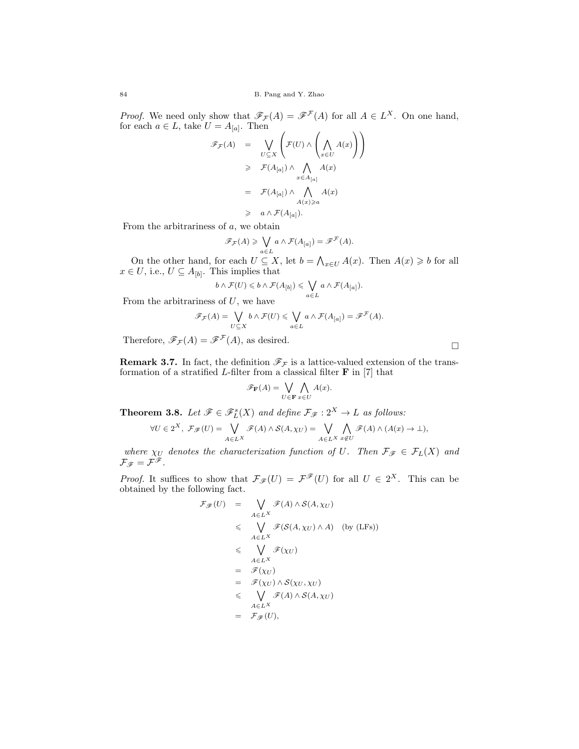*Proof.* We need only show that  $\mathscr{F}_{\mathcal{F}}(A) = \mathscr{F}^{\mathcal{F}}(A)$  for all  $A \in L^X$ . On one hand, for each  $a \in L$ , take  $U = A_{[a]}$ . Then  $\overline{1}$  $\overline{1}$ 

$$
\mathscr{F}_{\mathcal{F}}(A) = \bigvee_{U \subseteq X} \left( \mathcal{F}(U) \wedge \left( \bigwedge_{x \in U} A(x) \right) \right)
$$
  
\n
$$
\geq \mathcal{F}(A_{[a]}) \wedge \bigwedge_{x \in A_{[a]}} A(x)
$$
  
\n
$$
= \mathcal{F}(A_{[a]}) \wedge \bigwedge_{A(x) \geq a} A(x)
$$
  
\n
$$
\geq a \wedge \mathcal{F}(A_{[a]}).
$$

From the arbitrariness of a, we obtain

$$
\mathscr{F}_{\mathcal{F}}(A) \geqslant \bigvee_{a \in L} a \wedge \mathcal{F}(A_{[a]}) = \mathscr{F}^{\mathcal{F}}(A).
$$

On the other hand, for each  $U \subseteq X$ , let  $b = \bigwedge_{x \in U} A(x)$ . Then  $A(x) \geq b$  for all  $x \in U$ , i.e.,  $U \subseteq A_{[b]}$ . This implies that

$$
b \wedge \mathcal{F}(U) \leqslant b \wedge \mathcal{F}(A_{[b]}) \leqslant \bigvee_{a \in L} a \wedge \mathcal{F}(A_{[a]}).
$$

From the arbitrariness of  $U$ , we have

$$
\mathscr{F}_{\mathcal{F}}(A) = \bigvee_{U \subseteq X} b \wedge \mathcal{F}(U) \leq \bigvee_{a \in L} a \wedge \mathcal{F}(A_{[a]}) = \mathscr{F}^{\mathcal{F}}(A).
$$

Therefore,  $\mathscr{F}_{\mathcal{F}}(A) = \mathscr{F}^{\mathcal{F}}(A)$ , as desired.

**Remark 3.7.** In fact, the definition  $\mathcal{F}_{\mathcal{F}}$  is a lattice-valued extension of the transformation of a stratified  $L$ -filter from a classical filter  $\bf{F}$  in [7] that

$$
\mathscr{F}_{\mathbf{F}}(A) = \bigvee_{U \in \mathbf{F}} \bigwedge_{x \in U} A(x).
$$

**Theorem 3.8.** Let  $\mathscr{F} \in \mathscr{F}_L^s(X)$  and define  $\mathcal{F}_{\mathscr{F}} : 2^X \to L$  as follows:

$$
\forall U \in 2^X, \ \mathcal{F}_{\mathscr{F}}(U) = \bigvee_{A \in L^X} \mathscr{F}(A) \wedge \mathcal{S}(A, \chi_U) = \bigvee_{A \in L^X} \bigwedge_{x \notin U} \mathscr{F}(A) \wedge (A(x) \to \bot),
$$

where  $\chi_U$  denotes the characterization function of U. Then  $\mathcal{F}_{\mathcal{F}} \in \mathcal{F}_L(X)$  and  $\mathcal{F}_{\mathscr{F}}=\mathcal{F}^{\mathscr{F}}$  .

*Proof.* It suffices to show that  $\mathcal{F}_{\mathcal{F}}(U) = \mathcal{F}^{\mathcal{F}}(U)$  for all  $U \in 2^X$ . This can be obtained by the following fact.

$$
\mathcal{F}_{\mathscr{F}}(U) = \bigvee_{A \in L^{X}} \mathscr{F}(A) \wedge \mathcal{S}(A, \chi_{U})
$$
\n
$$
\leq \bigvee_{A \in L^{X}} \mathscr{F}(\mathcal{S}(A, \chi_{U}) \wedge A) \quad \text{(by (LFs))}
$$
\n
$$
\leq \bigvee_{A \in L^{X}} \mathscr{F}(\chi_{U})
$$
\n
$$
= \mathscr{F}(\chi_{U})
$$
\n
$$
= \mathscr{F}(\chi_{U}) \wedge \mathcal{S}(\chi_{U}, \chi_{U})
$$
\n
$$
\leq \bigvee_{A \in L^{X}} \mathscr{F}(A) \wedge \mathcal{S}(A, \chi_{U})
$$
\n
$$
= \mathscr{F}_{\mathscr{F}}(U),
$$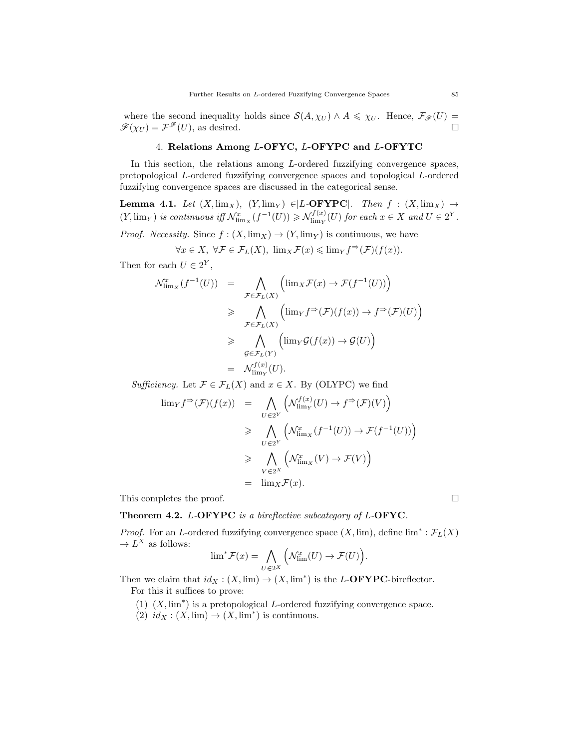where the second inequality holds since  $S(A, \chi_U) \wedge A \leq \chi_U$ . Hence,  $\mathcal{F}_{\mathscr{F}}(U) =$  $\mathscr{F}(\chi_U) = \mathcal{F}^{\mathscr{F}}(U)$ , as desired.

## 4. Relations Among L-OFYC, L-OFYPC and L-OFYTC

In this section, the relations among  $L$ -ordered fuzzifying convergence spaces, pretopological L-ordered fuzzifying convergence spaces and topological L-ordered fuzzifying convergence spaces are discussed in the categorical sense.

**Lemma 4.1.** Let  $(X, \lim_X)$ ,  $(Y, \lim_Y) \in L$ -**OFYPC**. Then  $f : (X, \lim_X) \to$  $(Y, \lim_{Y} )$  is continuous if  $\mathcal{N}_{\lim_{X}}^{x}(f^{-1}(U)) \geqslant \mathcal{N}_{\lim_{Y}}^{f(x)}$  $\mathcal{L}^{f(x)}(U)$  for each  $x \in X$  and  $U \in 2^Y$ .

*Proof.* Necessity. Since  $f : (X, \lim_X) \to (Y, \lim_Y)$  is continuous, we have

$$
\forall x \in X, \ \forall \mathcal{F} \in \mathcal{F}_L(X), \ \lim_X \mathcal{F}(x) \leqslant \lim_Y f^{\Rightarrow}(\mathcal{F})(f(x)).
$$

Then for each  $U \in 2^Y$ ,

$$
\mathcal{N}^x_{\lim_X} (f^{-1}(U)) = \bigwedge_{\mathcal{F} \in \mathcal{F}_L(X)} \left( \lim_X \mathcal{F}(x) \to \mathcal{F}(f^{-1}(U)) \right)
$$
  
\n
$$
\geq \bigwedge_{\mathcal{F} \in \mathcal{F}_L(X)} \left( \lim_Y f^{\Rightarrow} (\mathcal{F}) (f(x)) \to f^{\Rightarrow} (\mathcal{F}) (U) \right)
$$
  
\n
$$
\geq \bigwedge_{\mathcal{G} \in \mathcal{F}_L(Y)} \left( \lim_Y \mathcal{G}(f(x)) \to \mathcal{G}(U) \right)
$$
  
\n
$$
= \mathcal{N}^{f(x)}_{\lim_Y} (U).
$$

Sufficiency. Let  $\mathcal{F} \in \mathcal{F}_L(X)$  and  $x \in X$ . By (OLYPC) we find

$$
\lim_{V \to \infty} f^{\Rightarrow}(\mathcal{F})(f(x)) = \bigwedge_{U \in 2^Y} \left( \mathcal{N}_{\lim_{V}}^{f(x)}(U) \to f^{\Rightarrow}(\mathcal{F})(V) \right)
$$
  

$$
\geq \bigwedge_{U \in 2^Y} \left( \mathcal{N}_{\lim_{V \to \infty}}^{x} (f^{-1}(U)) \to \mathcal{F}(f^{-1}(U)) \right)
$$
  

$$
\geq \bigwedge_{V \in 2^X} \left( \mathcal{N}_{\lim_{V \to \infty}}^{x} (V) \to \mathcal{F}(V) \right)
$$
  

$$
= \lim_{V \to \infty} \mathcal{F}(x).
$$

This completes the proof.  $\Box$ 

Theorem 4.2. L-OFYPC is a bireflective subcategory of L-OFYC.

*Proof.* For an L-ordered fuzzifying convergence space  $(X, \text{lim})$ , define  $\lim^* : \mathcal{F}_L(X)$  $\rightarrow$  L<sup>X</sup> as follows:

$$
\lim^* \mathcal{F}(x) = \bigwedge_{U \in 2^X} \left( \mathcal{N}^x_{\lim}(U) \to \mathcal{F}(U) \right).
$$

Then we claim that  $id_X : (X, \text{lim}) \to (X, \text{lim}^*)$  is the L-**OFYPC**-bireflector. For this it suffices to prove:

- (1)  $(X, \lim^*)$  is a pretopological L-ordered fuzzifying convergence space.
- (2)  $id_X: (X, \text{lim}) \to (X, \text{lim}^*)$  is continuous.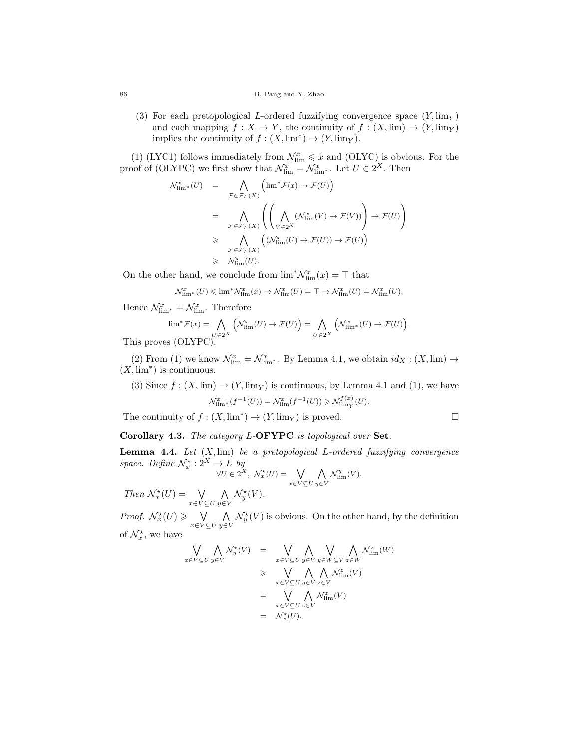(3) For each pretopological L-ordered fuzzifying convergence space  $(Y, \text{lim}_Y)$ and each mapping  $f : X \to Y$ , the continuity of  $f : (X, \text{lim}) \to (Y, \text{lim}_Y)$ implies the continuity of  $f : (X, \text{lim}^*) \to (Y, \text{lim}_Y)$ .

(1) (LYC1) follows immediately from  $\mathcal{N}_{\rm lim}^x \leqslant \dot{x}$  and (OLYC) is obvious. For the proof of (OLYPC) we first show that  $\mathcal{N}_{\text{lim}}^x = \mathcal{N}_{\text{lim}}^x$ . Let  $U \in 2^X$ . Then

$$
\mathcal{N}_{\lim^*}^x(U) = \bigwedge_{\mathcal{F} \in \mathcal{F}_L(X)} \left( \lim^* \mathcal{F}(x) \to \mathcal{F}(U) \right)
$$
  
\n
$$
= \bigwedge_{\mathcal{F} \in \mathcal{F}_L(X)} \left( \left( \bigwedge_{V \in 2^X} (\mathcal{N}_{\lim}^x(V) \to \mathcal{F}(V)) \right) \to \mathcal{F}(U) \right)
$$
  
\n
$$
\geq \bigwedge_{\mathcal{F} \in \mathcal{F}_L(X)} \left( (\mathcal{N}_{\lim}^x(U) \to \mathcal{F}(U)) \to \mathcal{F}(U) \right)
$$
  
\n
$$
\geq \bigwedge_{\mathcal{F} \in \mathcal{F}_L(X)} \left( (\mathcal{N}_{\lim}^x(U) \to \mathcal{F}(U)) \to \mathcal{F}(U) \right)
$$

On the other hand, we conclude from  $\lim^* \mathcal{N}_{\text{lim}}^x(x) = \top$  that

$$
\mathcal{N}_{\textrm{lim}^*}^{x}(U) \leqslant \textrm{lim}^*\mathcal{N}_{\textrm{lim}}^{x}(x) \rightarrow \mathcal{N}_{\textrm{lim}}^{x}(U) = \top \rightarrow \mathcal{N}_{\textrm{lim}}^{x}(U) = \mathcal{N}_{\textrm{lim}}^{x}(U).
$$

Hence  $\mathcal{N}_{\text{lim}^*}^x = \mathcal{N}_{\text{lim}}^x$ . Therefore

$$
\lim^* \mathcal{F}(x) = \bigwedge_{U \in 2^X} \left( \mathcal{N}_{\lim}^x(U) \to \mathcal{F}(U) \right) = \bigwedge_{U \in 2^X} \left( \mathcal{N}_{\lim^*}^x(U) \to \mathcal{F}(U) \right).
$$

This proves (OLYPC).

(2) From (1) we know  $\mathcal{N}_{\rm lim}^x = \mathcal{N}_{\rm lim^*}^x$ . By Lemma 4.1, we obtain  $id_X : (X, \rm lim) \rightarrow$  $(X, \text{lim}^*)$  is continuous.

(3) Since  $f : (X, \text{lim}) \to (Y, \text{lim}_Y)$  is continuous, by Lemma 4.1 and (1), we have

$$
\mathcal{N}_{\lim^{*}}^{x}(f^{-1}(U)) = \mathcal{N}_{\lim}^{x}(f^{-1}(U)) \geq \mathcal{N}_{\lim^{*}}^{f(x)}(U).
$$

The continuity of  $f : (X, \text{lim}^*) \to (Y, \text{lim}_Y)$  is proved.

Corollary 4.3. The category L-OFYPC is topological over Set.

**Lemma 4.4.** Let  $(X, \text{lim})$  be a pretopological L-ordered fuzzifying convergence space. Define  $\mathcal{N}_x^{\star}: 2^X \to L$  by

$$
\forall U \in 2^{\tilde{X}}, \ \mathcal{N}_x^{\star}(U) = \bigvee_{x \in V \subseteq U} \bigwedge_{y \in V} \mathcal{N}_{\text{lim}}^y(V).
$$

Then  $\mathcal{N}_x^{\star}(U) = \bigvee$  $x\in V\subseteq U$  $\wedge$ y∈V  $\mathcal{N}_y^*(V)$ .

*Proof.*  $\mathcal{N}_x^*(U) \geqslant \quad \bigvee$  $x ∈ V ⊆ U$  $\wedge$ y∈V  $\mathcal{N}_{y}^{\star}(V)$  is obvious. On the other hand, by the definition of  $\mathcal{N}_x^*$ , we have

$$
\bigvee_{x \in V \subseteq U} \bigwedge_{y \in V} \mathcal{N}_y^*(V) = \bigvee_{x \in V \subseteq U} \bigwedge_{y \in V} \bigvee_{y \in W \subseteq V} \bigwedge_{z \in W} \mathcal{N}_{\text{lim}}^*(W)
$$
\n
$$
\geq \bigvee_{x \in V \subseteq U} \bigwedge_{y \in V} \bigwedge_{z \in V} \mathcal{N}_{\text{lim}}^*(V)
$$
\n
$$
= \bigvee_{x \in V \subseteq U} \bigwedge_{z \in V} \mathcal{N}_{\text{lim}}^*(V)
$$
\n
$$
= \mathcal{N}_x^*(U).
$$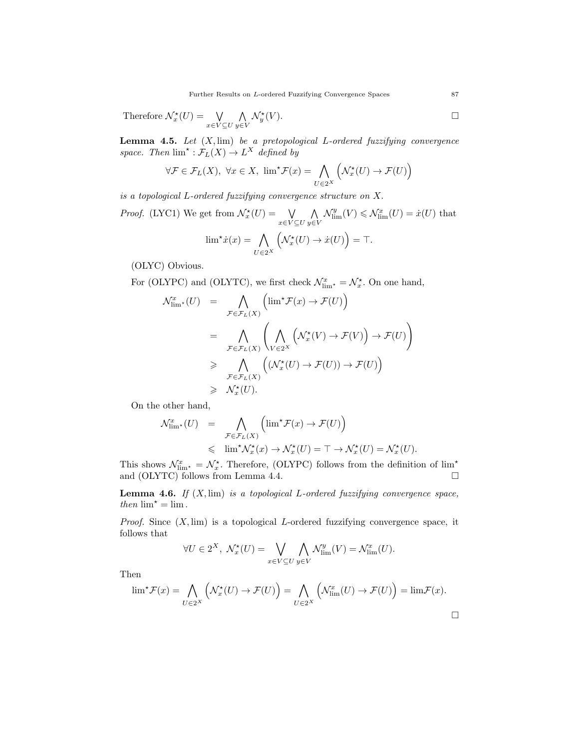Therefore 
$$
\mathcal{N}_x^{\star}(U) = \bigvee_{x \in V \subseteq U} \bigwedge_{y \in V} \mathcal{N}_y^{\star}(V)
$$
.

**Lemma 4.5.** Let  $(X, \text{lim})$  be a pretopological L-ordered fuzzifying convergence space. Then  $\lim^{\star}: \mathcal{F}_L(X) \to L^X$  defined by

$$
\forall \mathcal{F} \in \mathcal{F}_L(X), \ \forall x \in X, \ \lim^{\star} \mathcal{F}(x) = \bigwedge_{U \in 2^X} \left( \mathcal{N}_x^{\star}(U) \to \mathcal{F}(U) \right)
$$

is a topological L-ordered fuzzifying convergence structure on X.

*Proof.* (LYC1) We get from  $\mathcal{N}_x^{\star}(U) = \mathbb{V}$  $x\in V\subseteq U$  $\wedge$ y∈V  $\mathcal{N}_{\text{lim}}^y(V) \leq \mathcal{N}_{\text{lim}}^x(U) = \dot{x}(U)$  that  $\lim^{\star} \dot{x}(x) = \bigwedge$  $U\in 2^X$  $(\mathcal{N}_x^*(U) \to \dot{x}(U)) = \top.$ 

(OLYC) Obvious.

For (OLYPC) and (OLYTC), we first check  $\mathcal{N}_{\lim^{\star}}^{x} = \mathcal{N}_{x}^{\star}$ . On one hand,

$$
\mathcal{N}_{\lim}^x(U) = \bigwedge_{\mathcal{F} \in \mathcal{F}_L(X)} \left( \lim^{\star} \mathcal{F}(x) \to \mathcal{F}(U) \right)
$$
  
\n
$$
= \bigwedge_{\mathcal{F} \in \mathcal{F}_L(X)} \left( \bigwedge_{V \in 2^X} \left( \mathcal{N}_x^{\star}(V) \to \mathcal{F}(V) \right) \to \mathcal{F}(U) \right)
$$
  
\n
$$
\geq \bigwedge_{\mathcal{F} \in \mathcal{F}_L(X)} \left( (\mathcal{N}_x^{\star}(U) \to \mathcal{F}(U)) \to \mathcal{F}(U) \right)
$$
  
\n
$$
\geq \bigwedge_{\mathcal{F}_x^x(U).
$$

On the other hand,

$$
\mathcal{N}_{\lim^{\star}}^{x}(U) = \bigwedge_{\mathcal{F}\in\mathcal{F}_{L}(X)} \left( \lim^{\star} \mathcal{F}(x) \to \mathcal{F}(U) \right)
$$
  
\$\leqslant\$  $\lim^{\star} \mathcal{N}_{x}^{\star}(x) \to \mathcal{N}_{x}^{\star}(U) = \top \to \mathcal{N}_{x}^{\star}(U) = \mathcal{N}_{x}^{\star}(U).$}$ 

This shows  $\mathcal{N}_{\text{lim}}^x = \mathcal{N}_x^*$ . Therefore, (OLYPC) follows from the definition of  $\lim^x$ and (OLYTC) follows from Lemma 4.4.  $\square$ 

**Lemma 4.6.** If  $(X, \text{lim})$  is a topological L-ordered fuzzifying convergence space, then  $\lim^{\star} = \lim$ .

*Proof.* Since  $(X, \text{lim})$  is a topological L-ordered fuzzifying convergence space, it follows that

$$
\forall U \in 2^X, \ \mathcal{N}_x^*(U) = \bigvee_{x \in V \subseteq U} \bigwedge_{y \in V} \mathcal{N}_{\text{lim}}^y(V) = \mathcal{N}_{\text{lim}}^x(U).
$$

Then

$$
\lim^{\star} \mathcal{F}(x) = \bigwedge_{U \in 2^{X}} \left( \mathcal{N}_{x}^{\star}(U) \to \mathcal{F}(U) \right) = \bigwedge_{U \in 2^{X}} \left( \mathcal{N}_{\lim}^{x}(U) \to \mathcal{F}(U) \right) = \lim \mathcal{F}(x).
$$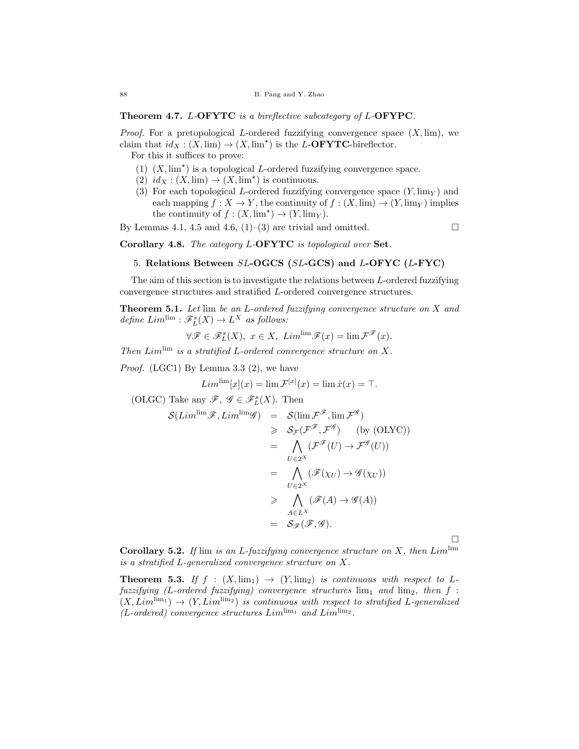Theorem 4.7. L-OFYTC is a bireflective subcategory of L-OFYPC.

*Proof.* For a pretopological L-ordered fuzzifying convergence space  $(X, \text{lim})$ , we claim that  $id_X : (X, \text{lim}) \to (X, \text{lim}^*)$  is the L-**OFYTC**-bireflector.

For this it suffices to prove:

- (1)  $(X, \text{lim}^*)$  is a topological *L*-ordered fuzzifying convergence space.
- $(2)$   $id_X : (X, \text{lim}) \to (X, \text{lim}^*)$  is continuous.
- (3) For each topological L-ordered fuzzifying convergence space  $(Y, \lim_{Y} )$  and each mapping  $f : X \to Y$ , the continuity of  $f : (X, \text{lim}) \to (Y, \text{lim}_Y)$  implies the continuity of  $f : (X, \text{lim}^*) \to (Y, \text{lim}_Y).$

By Lemmas 4.1, 4.5 and 4.6,  $(1)$ – $(3)$  are trivial and omitted.

Corollary 4.8. The category L-OFYTC is topological over Set.

### 5. Relations Between SL-OGCS (SL-GCS) and L-OFYC (L-FYC)

The aim of this section is to investigate the relations between L-ordered fuzzifying convergence structures and stratified L-ordered convergence structures.

**Theorem 5.1.** Let lim be an L-ordered fuzzifying convergence structure on X and define  $Lim^{\text{lim}} : \mathscr{F}_L^s(X) \to L^X$  as follows:

$$
\forall \mathscr{F} \in \mathscr{F}_L^s(X), \ x \in X, \ Lim^{\lim} \mathscr{F}(x) = \lim \mathscr{F}^{\mathscr{F}}(x).
$$

Then  $Lim^{\text{lim}}$  is a stratified L-ordered convergence structure on X.

Proof. (LGC1) By Lemma 3.3 (2), we have

$$
Lim^{\lim}[x](x) = \lim \mathcal{F}^{[x]}(x) = \lim \dot{x}(x) = \top.
$$

(OLGC) Take any  $\mathscr{F}, \mathscr{G} \in \mathscr{F}_L^s(X)$ . Then

$$
S(Lim^{\lim}\mathscr{F}, Lim^{\lim}\mathscr{G}) = S(\lim \mathscr{F}^{\mathscr{F}}, \lim \mathscr{F}^{\mathscr{G}})
$$
  
\n
$$
\geq S_{\mathscr{F}}(\mathscr{F}^{\mathscr{F}}, \mathscr{F}^{\mathscr{G}}) \quad \text{(by (OLYC))}
$$
  
\n
$$
= \bigwedge_{U \in 2^X} (\mathscr{F}^{\mathscr{F}}(U) \to \mathscr{F}^{\mathscr{G}}(U))
$$
  
\n
$$
= \bigwedge_{U \in 2^X} (\mathscr{F}(\chi_U) \to \mathscr{G}(\chi_U))
$$
  
\n
$$
\geq \bigwedge_{A \in L^X} (\mathscr{F}(A) \to \mathscr{G}(A))
$$
  
\n
$$
= S_{\mathscr{F}}(\mathscr{F}, \mathscr{G}).
$$

**Corollary 5.2.** If lim is an L-fuzzifying convergence structure on X, then  $Lim^{\text{lim}}$ is a stratified L-generalized convergence structure on X.

 $\Box$ 

**Theorem 5.3.** If  $f : (X, \lim_1) \rightarrow (Y, \lim_2)$  is continuous with respect to Lfuzzifying (L-ordered fuzzifying) convergence structures  $\lim_{1}$  and  $\lim_{2}$ , then f:  $(X, Lim^{\lim_1}) \rightarrow (Y, Lim^{\lim_2})$  is continuous with respect to stratified L-generalized  $(L$ -ordered) convergence structures  $Lim^{\lim_1}$  and  $Lim^{\lim_2}$ .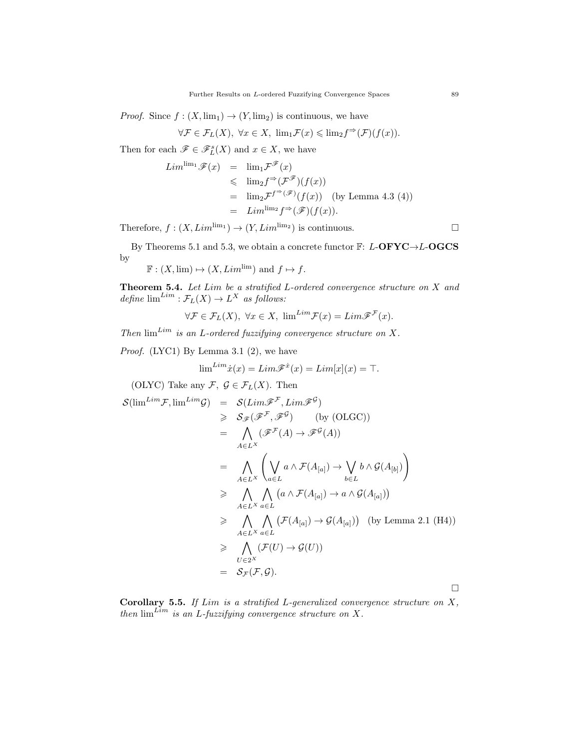*Proof.* Since  $f : (X, \lim_1) \to (Y, \lim_2)$  is continuous, we have

$$
\forall \mathcal{F} \in \mathcal{F}_L(X), \ \forall x \in X, \ \lim_{1} \mathcal{F}(x) \leqslant \lim_{2} f^{\Rightarrow}(\mathcal{F})(f(x)).
$$

Then for each  $\mathscr{F} \in \mathscr{F}_L^s(X)$  and  $x \in X$ , we have

$$
Lim^{\lim_1} \mathscr{F}(x) = \lim_1 \mathcal{F}^{\mathscr{F}}(x)
$$
  
\n
$$
\leq \lim_2 f^{\Rightarrow} (\mathcal{F}^{\mathscr{F}})(f(x))
$$
  
\n
$$
= \lim_2 \mathcal{F}^{f^{\Rightarrow}(\mathscr{F})}(f(x)) \text{ (by Lemma 4.3 (4))}
$$
  
\n
$$
= Lim^{\lim_2} f^{\Rightarrow}(\mathscr{F})(f(x)).
$$

Therefore,  $f : (X, Lim^{\lim_1}) \to (Y, Lim^{\lim_2})$  is continuous.

By Theorems 5.1 and 5.3, we obtain a concrete functor  $\mathbb{F}$ : L-OFYC $\rightarrow$ L-OGCS by

$$
\mathbb{F}: (X, \text{lim}) \mapsto (X, \text{Lim}^{\text{lim}})
$$
 and  $f \mapsto f$ .

**Theorem 5.4.** Let  $Lim$  be a stratified  $L$ -ordered convergence structure on  $X$  and define  $\lim^{Lim}$  :  $\mathcal{F}_L(X) \to L^X$  as follows:

$$
\forall \mathcal{F} \in \mathcal{F}_L(X), \ \forall x \in X, \ \lim^{Lim} \mathcal{F}(x) = Lim\mathcal{F}^{\mathcal{F}}(x).
$$

Then  $\lim^{Lim}$  is an L-ordered fuzzifying convergence structure on X.

Proof. (LYC1) By Lemma 3.1 (2), we have

$$
\lim^{Lim} \dot{x}(x) = Lim\mathscr{F}^{\dot{x}}(x) = Lim[x](x) = \top.
$$

(OLYC) Take any  $\mathcal{F}, \mathcal{G} \in \mathcal{F}_L(X)$ . Then

$$
\mathcal{S}(\lim^{Lim} \mathcal{F}, \lim^{Lim} \mathcal{G}) = \mathcal{S}(\mathcal{L}im\mathcal{F}^{\mathcal{F}}, \mathcal{L}im\mathcal{F}^{\mathcal{G}})
$$
\n
$$
\geq \mathcal{S}_{\mathcal{F}}(\mathcal{F}^{\mathcal{F}}, \mathcal{F}^{\mathcal{G}}) \quad \text{(by (OLGC))}
$$
\n
$$
= \bigwedge_{A \in L^{X}} (\mathcal{F}^{\mathcal{F}}(A) \to \mathcal{F}^{\mathcal{G}}(A))
$$
\n
$$
= \bigwedge_{A \in L^{X}} \left( \bigvee_{a \in L} a \land \mathcal{F}(A_{[a]}) \to \bigvee_{b \in L} b \land \mathcal{G}(A_{[b]}) \right)
$$
\n
$$
\geq \bigwedge_{A \in L^{X}} \bigwedge_{a \in L} (a \land \mathcal{F}(A_{[a]}) \to a \land \mathcal{G}(A_{[a]}))
$$
\n
$$
\geq \bigwedge_{A \in L^{X}} \bigwedge_{a \in L} (\mathcal{F}(A_{[a]}) \to \mathcal{G}(A_{[a]})) \quad \text{(by Lemma 2.1 (H4))}
$$
\n
$$
\geq \bigwedge_{U \in 2^{X}} (\mathcal{F}(U) \to \mathcal{G}(U))
$$
\n
$$
= \mathcal{S}_{\mathcal{F}}(\mathcal{F}, \mathcal{G}).
$$

Corollary 5.5. If  $Lim$  is a stratified L-generalized convergence structure on  $X$ , then  $\lim_{\Delta t \to 0} L$ -fuzzifying convergence structure on X.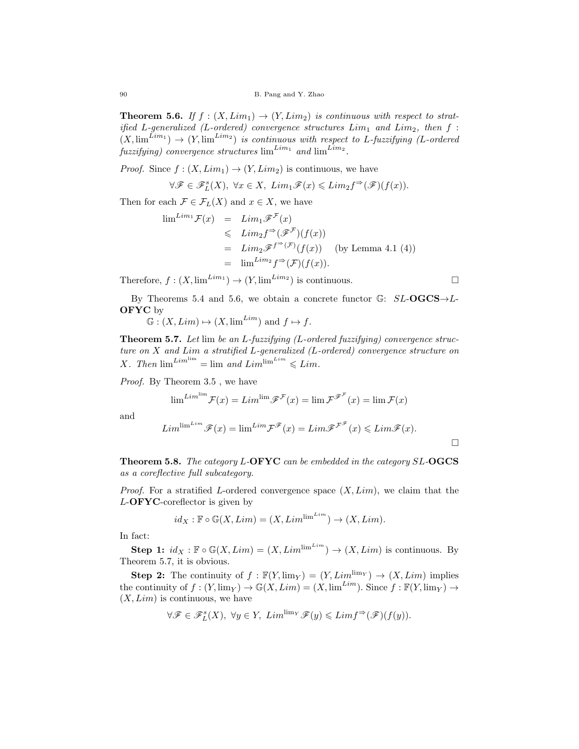**Theorem 5.6.** If  $f : (X, Lim_1) \rightarrow (Y, Lim_2)$  is continuous with respect to stratified L-generalized (L-ordered) convergence structures  $Lim_1$  and  $Lim_2$ , then  $f$ :  $(X, \lim^{Lim_1}) \to (Y, \lim^{Lim_2})$  is continuous with respect to L-fuzzifying (L-ordered fuzzifying) convergence structures  $\lim^{Lim_1}$  and  $\lim^{Lim_2}$ .

*Proof.* Since  $f : (X, Lim_1) \rightarrow (Y, Lim_2)$  is continuous, we have

$$
\forall \mathscr{F} \in \mathscr{F}_L^s(X), \ \forall x \in X, \ Lim_1\mathscr{F}(x) \leqslant Lim_2f^{\Rightarrow}(\mathscr{F})(f(x)).
$$

Then for each  $\mathcal{F} \in \mathcal{F}_L(X)$  and  $x \in X$ , we have

$$
\lim^{Lim_1} \mathcal{F}(x) = Lim_1 \mathcal{F}^{\mathcal{F}}(x)
$$
  
\n
$$
\leq Lim_2 f^{\Rightarrow} (\mathcal{F}^{\mathcal{F}})(f(x))
$$
  
\n
$$
= Lim_2 \mathcal{F}^{f^{\Rightarrow}(\mathcal{F})}(f(x)) \text{ (by Lemma 4.1 (4))}
$$
  
\n
$$
= lim^{Lim_2} f^{\Rightarrow} (\mathcal{F})(f(x)).
$$

Therefore,  $f : (X, \lim^{Lim_1}) \to (Y, \lim^{Lim_2})$  is continuous.

By Theorems 5.4 and 5.6, we obtain a concrete functor  $\mathbb{G}$ :  $SL\text{-}OGCS\rightarrow L$ OFYC by

 $\mathbb{G} : (X, Lim) \mapsto (X, \lim^{Lim})$  and  $f \mapsto f$ .

Theorem 5.7. Let lim be an L-fuzzifying (L-ordered fuzzifying) convergence structure on X and Lim a stratified L-generalized (L-ordered) convergence structure on X. Then  $\lim^{\text{Lim}} = \lim$  and  $\text{Lim}^{\text{lim}} \leq \text{Lim}$ .

Proof. By Theorem 3.5, we have

$$
\lim^{Lim^{\lim}} \mathcal{F}(x) = Lim^{\lim} \mathcal{F}^{\mathcal{F}}(x) = \lim \mathcal{F}^{\mathcal{F}^{\mathcal{F}}}(x) = \lim \mathcal{F}(x)
$$

and

$$
Lim^{\lim^{Lim}}\mathscr{F}(x) = \lim^{Lim}\mathcal{F}^{\mathscr{F}}(x) = Lim\mathscr{F}^{\mathcal{F}^{\mathscr{F}}}(x) \leq Lim\mathscr{F}(x).
$$

Theorem 5.8. The category L-OFYC can be embedded in the category SL-OGCS as a coreflective full subcategory.

*Proof.* For a stratified L-ordered convergence space  $(X, Lim)$ , we claim that the L-OFYC-coreflector is given by

$$
id_X : \mathbb{F} \circ \mathbb{G}(X, Lim) = (X, Lim^{\lim^{Lim}}) \to (X, Lim).
$$

In fact:

Step 1:  $id_X : \mathbb{F} \circ \mathbb{G}(X, Lim) = (X, Lim^{\lim^{Lim}}) \to (X, Lim)$  is continuous. By Theorem 5.7, it is obvious.

**Step 2:** The continuity of  $f : \mathbb{F}(Y, \lim_{Y} ) = (Y, \text{Lim}^{\lim_{Y}} ) \rightarrow (X, \text{Lim})$  implies the continuity of  $f : (Y, \lim_Y) \to \mathbb{G}(X, \text{Lim}) = (X, \lim^{\text{Lim}})$ . Since  $f : \mathbb{F}(Y, \lim_Y) \to$  $(X, Lim)$  is continuous, we have

$$
\forall \mathscr{F} \in \mathscr{F}_{L}^{s}(X),\ \forall y \in Y,\ Lim^{\lim_{Y}}\mathscr{F}(y) \leqslant Limf^{\Rightarrow}(\mathscr{F})(f(y)).
$$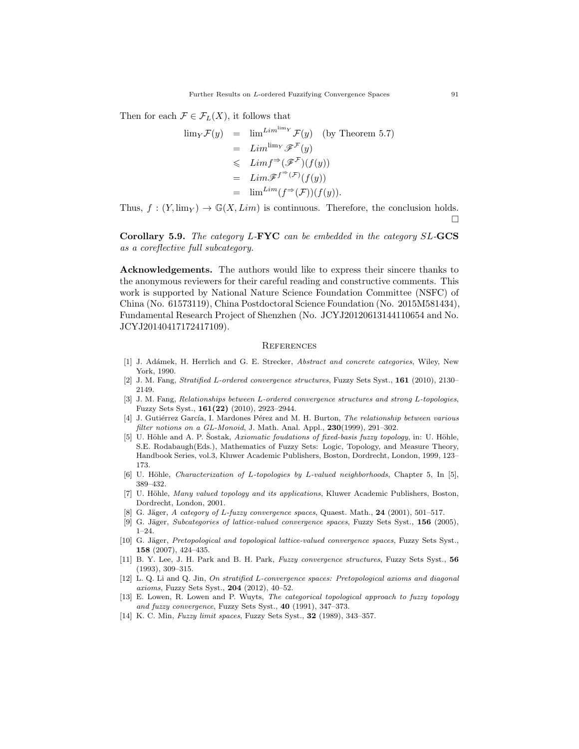Then for each  $\mathcal{F} \in \mathcal{F}_L(X)$ , it follows that

$$
\lim_{Y} \mathcal{F}(y) = \lim_{L \infty} L \lim_{Y} \mathcal{F}(y) \quad \text{(by Theorem 5.7)}
$$
\n
$$
= L \lim_{Y} \mathcal{F}^{\mathcal{F}}(y)
$$
\n
$$
\leq L \lim_{Y} f^{\Rightarrow} (\mathcal{F}^{\mathcal{F}})(f(y))
$$
\n
$$
= L \lim_{Y} \mathcal{F}^{(Y)}(f(y))
$$
\n
$$
= \lim_{Y} L \lim_{Y} (f^{\Rightarrow} (\mathcal{F}^{\circ})(f(y))).
$$

Thus,  $f: (Y, \lim_Y) \to \mathbb{G}(X, \text{Lim})$  is continuous. Therefore, the conclusion holds.  $\Box$ 

Corollary 5.9. The category L-FYC can be embedded in the category SL-GCS as a coreflective full subcategory.

Acknowledgements. The authors would like to express their sincere thanks to the anonymous reviewers for their careful reading and constructive comments. This work is supported by National Nature Science Foundation Committee (NSFC) of China (No. 61573119), China Postdoctoral Science Foundation (No. 2015M581434), Fundamental Research Project of Shenzhen (No. JCYJ20120613144110654 and No. JCYJ20140417172417109).

#### **REFERENCES**

- [1] J. Adámek, H. Herrlich and G. E. Strecker, *Abstract and concrete categories*, Wiley, New York, 1990.
- [2] J. M. Fang, Stratified L-ordered convergence structures, Fuzzy Sets Syst., 161 (2010), 2130– 2149.
- [3] J. M. Fang, Relationships between L-ordered convergence structures and strong L-topologies, Fuzzy Sets Syst., 161(22) (2010), 2923–2944.
- [4] J. Gutiérrez García, I. Mardones Pérez and M. H. Burton, The relationship between various filter notions on a GL-Monoid, J. Math. Anal. Appl., 230(1999), 291-302.
- [5] U. Höhle and A. P. Šostak, Axiomatic foudations of fixed-basis fuzzy topology, in: U. Höhle, S.E. Rodabaugh(Eds.), Mathematics of Fuzzy Sets: Logic, Topology, and Measure Theory, Handbook Series, vol.3, Kluwer Academic Publishers, Boston, Dordrecht, London, 1999, 123– 173.
- [6] U. Höhle, Characterization of L-topologies by L-valued neighborhoods, Chapter 5, In [5], 389–432.
- [7] U. Höhle, Many valued topology and its applications, Kluwer Academic Publishers, Boston, Dordrecht, London, 2001.
- [8] G. Jäger, A category of L-fuzzy convergence spaces, Quaest. Math.,  $24$  (2001), 501–517.
- [9] G. Jäger, Subcategories of lattice-valued convergence spaces, Fuzzy Sets Syst., 156 (2005), 1–24.
- [10] G. Jäger, Pretopological and topological lattice-valued convergence spaces, Fuzzy Sets Syst., 158 (2007), 424–435.
- [11] B. Y. Lee, J. H. Park and B. H. Park, Fuzzy convergence structures, Fuzzy Sets Syst., 56 (1993), 309–315.
- [12] L. Q. Li and Q. Jin, On stratified L-convergence spaces: Pretopological axioms and diagonal axioms, Fuzzy Sets Syst., 204 (2012), 40–52.
- [13] E. Lowen, R. Lowen and P. Wuyts, The categorical topological approach to fuzzy topology and fuzzy convergence, Fuzzy Sets Syst., 40 (1991), 347–373.
- [14] K. C. Min, Fuzzy limit spaces, Fuzzy Sets Syst., 32 (1989), 343–357.